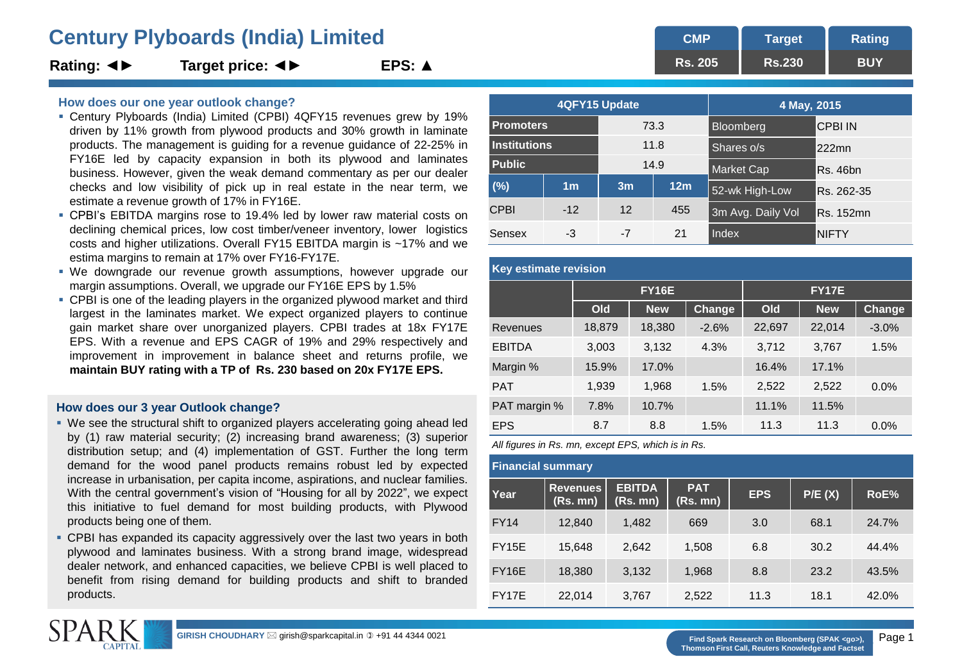# **Century Plyboards (India) Limited <b>CMP** CMP

**Rating: ◄► Target price: ◄► EPS: ▲**

## **How does our one year outlook change?**

- Century Plyboards (India) Limited (CPBI) 4QFY15 revenues grew by 19% driven by 11% growth from plywood products and 30% growth in laminate products. The management is guiding for a revenue guidance of 22-25% in FY16E led by capacity expansion in both its plywood and laminates business. However, given the weak demand commentary as per our dealer checks and low visibility of pick up in real estate in the near term, we estimate a revenue growth of 17% in FY16E.
- CPBI's EBITDA margins rose to 19.4% led by lower raw material costs on declining chemical prices, low cost timber/veneer inventory, lower logistics costs and higher utilizations. Overall FY15 EBITDA margin is ~17% and we estima margins to remain at 17% over FY16-FY17E.
- We downgrade our revenue growth assumptions, however upgrade our margin assumptions. Overall, we upgrade our FY16E EPS by 1.5%
- CPBI is one of the leading players in the organized plywood market and third largest in the laminates market. We expect organized players to continue gain market share over unorganized players. CPBI trades at 18x FY17E EPS. With a revenue and EPS CAGR of 19% and 29% respectively and improvement in improvement in balance sheet and returns profile, we **maintain BUY rating with a TP of Rs. 230 based on 20x FY17E EPS.**

# **How does our 3 year Outlook change?**

- We see the structural shift to organized players accelerating going ahead led by (1) raw material security; (2) increasing brand awareness; (3) superior distribution setup; and (4) implementation of GST. Further the long term demand for the wood panel products remains robust led by expected increase in urbanisation, per capita income, aspirations, and nuclear families. With the central government's vision of "Housing for all by 2022", we expect this initiative to fuel demand for most building products, with Plywood products being one of them.
- CPBI has expanded its capacity aggressively over the last two years in both plywood and laminates business. With a strong brand image, widespread dealer network, and enhanced capacities, we believe CPBI is well placed to benefit from rising demand for building products and shift to branded products.

|                     | 4QFY15 Update  |      | 4 May, 2015     |                   |                 |
|---------------------|----------------|------|-----------------|-------------------|-----------------|
| <b>Promoters</b>    |                | 73.3 |                 | Bloomberg         | <b>CPBI IN</b>  |
| <b>Institutions</b> |                | 11.8 |                 | Shares o/s        | $222$ mn        |
| <b>Public</b>       |                |      | 14.9            | Market Cap        | <b>Rs. 46bn</b> |
| (%)                 | 1 <sub>m</sub> | 3m   | 12 <sub>m</sub> | 52-wk High-Low    | Rs. 262-35      |
| <b>CPBI</b>         | $-12$          | 12   | 455             | 3m Avg. Daily Vol | Rs. 152mn       |
| Sensex              | -3             | -7   | 21              | Index             | <b>NIFTY</b>    |

**Rs. 205**

**Target Rs.230** **Rating BUY**

| <b>Key estimate revision</b> |        |              |         |              |            |               |  |  |
|------------------------------|--------|--------------|---------|--------------|------------|---------------|--|--|
|                              |        | <b>FY16E</b> |         | <b>FY17E</b> |            |               |  |  |
|                              | Old    | <b>New</b>   | Change  | Old          | <b>New</b> | <b>Change</b> |  |  |
| Revenues                     | 18,879 | 18,380       | $-2.6%$ | 22,697       | 22,014     | $-3.0%$       |  |  |
| <b>EBITDA</b>                | 3,003  | 3,132        | 4.3%    | 3,712        | 3,767      | 1.5%          |  |  |
| Margin %                     | 15.9%  | 17.0%        |         | 16.4%        | 17.1%      |               |  |  |
| <b>PAT</b>                   | 1,939  | 1,968        | 1.5%    | 2,522        | 2,522      | $0.0\%$       |  |  |
| PAT margin %                 | 7.8%   | 10.7%        |         | 11.1%        | 11.5%      |               |  |  |
| <b>EPS</b>                   | 8.7    | 8.8          | 1.5%    | 11.3         | 11.3       | 0.0%          |  |  |

*All figures in Rs. mn, except EPS, which is in Rs.*

| <b>Financial summary</b> |                             |                           |                        |            |        |       |
|--------------------------|-----------------------------|---------------------------|------------------------|------------|--------|-------|
| Year                     | <b>Revenues</b><br>(Rs. mn) | <b>EBITDA</b><br>(Rs. mn) | <b>PAT</b><br>(Rs. mn) | <b>EPS</b> | P/E(X) | RoE%  |
| FY14                     | 12,840                      | 1,482                     | 669                    | 3.0        | 68.1   | 24.7% |
| <b>FY15E</b>             | 15,648                      | 2,642                     | 1,508                  | 6.8        | 30.2   | 44.4% |
| FY16E                    | 18,380                      | 3,132                     | 1,968                  | 8.8        | 23.2   | 43.5% |
| FY17E                    | 22,014                      | 3,767                     | 2,522                  | 11.3       | 18.1   | 42.0% |



**Thomson First Call, Reuters Knowledge and Factset**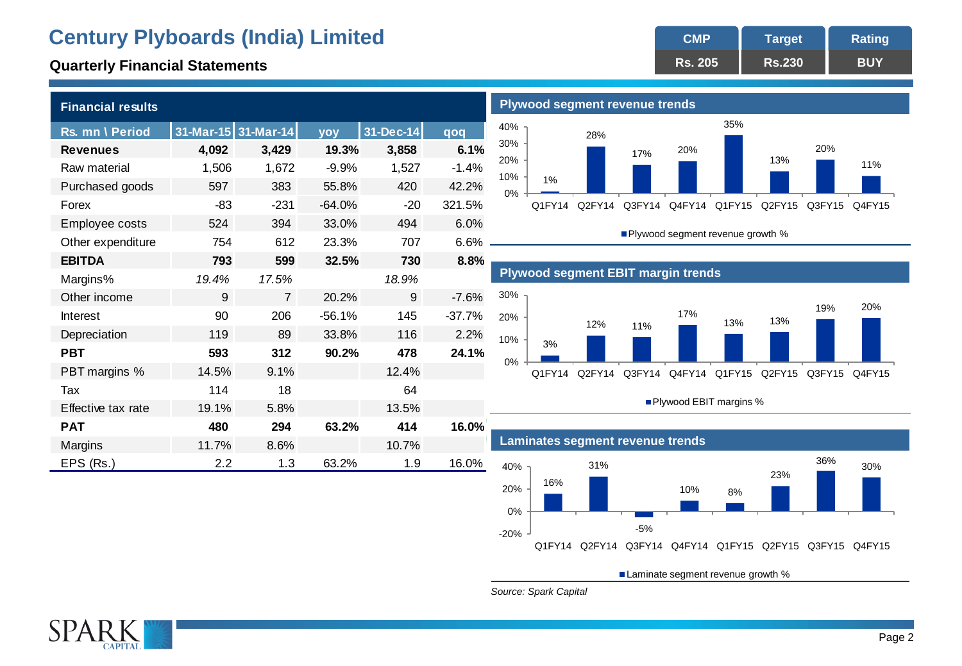# **Century Plyboards (India) Limited <b>CMP** CMP

| <b>Financial results</b> |       |                     |          |           |          |
|--------------------------|-------|---------------------|----------|-----------|----------|
| Rs. mn \ Period          |       | 31-Mar-15 31-Mar-14 | yoy      | 31-Dec-14 | qoq      |
| <b>Revenues</b>          | 4,092 | 3,429               | 19.3%    | 3,858     | 6.1%     |
| Raw material             | 1,506 | 1,672               | $-9.9%$  | 1,527     | $-1.4%$  |
| Purchased goods          | 597   | 383                 | 55.8%    | 420       | 42.2%    |
| Forex                    | $-83$ | $-231$              | $-64.0%$ | $-20$     | 321.5%   |
| Employee costs           | 524   | 394                 | 33.0%    | 494       | 6.0%     |
| Other expenditure        | 754   | 612                 | 23.3%    | 707       | 6.6%     |
| <b>EBITDA</b>            | 793   | 599                 | 32.5%    | 730       | 8.8%     |
| Margins%                 | 19.4% | 17.5%               |          | 18.9%     |          |
| Other income             | 9     | $\overline{7}$      | 20.2%    | 9         | $-7.6%$  |
| Interest                 | 90    | 206                 | $-56.1%$ | 145       | $-37.7%$ |
| Depreciation             | 119   | 89                  | 33.8%    | 116       | 2.2%     |
| <b>PBT</b>               | 593   | 312                 | 90.2%    | 478       | 24.1%    |
| PBT margins %            | 14.5% | 9.1%                |          | 12.4%     |          |
| Tax                      | 114   | 18                  |          | 64        |          |
| Effective tax rate       | 19.1% | 5.8%                |          | 13.5%     |          |
| <b>PAT</b>               | 480   | 294                 | 63.2%    | 414       | 16.0%    |
| Margins                  | 11.7% | 8.6%                |          | 10.7%     |          |
| EPS (Rs.)                | 2.2   | 1.3                 | 63.2%    | 1.9       | 16.0%    |

#### **Rs. 205 Target Rs.230 Rating Quarterly Financial Statements BUY Quarterly Financial Statements BUY**



Plywood segment revenue growth %





Plywood EBIT margins %



Laminate segment revenue growth %

*Source: Spark Capital*

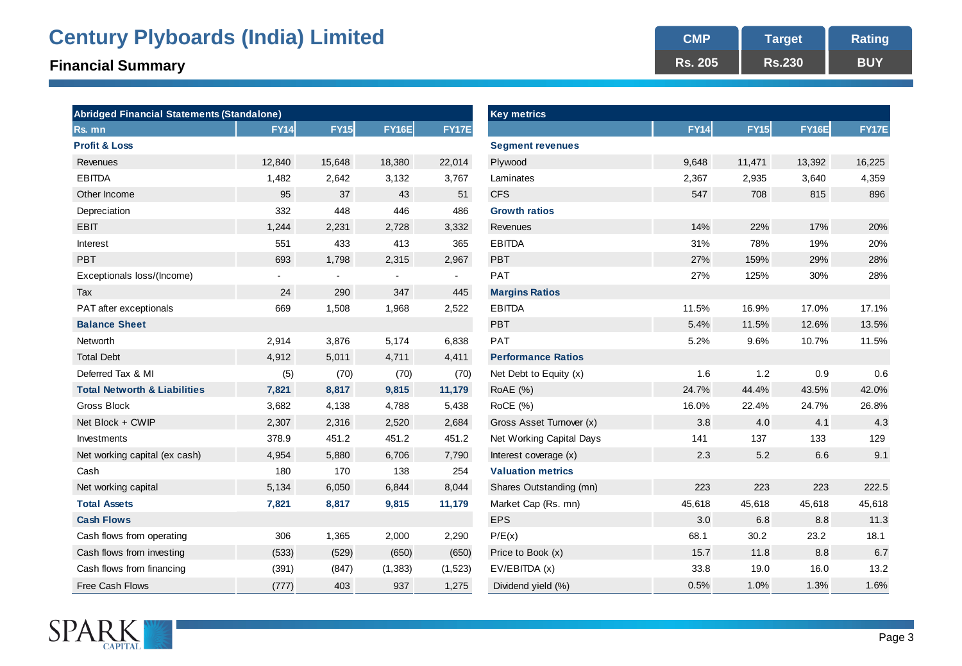# **Century Plyboards (India) Limited <b>CMP** CMP

# **Financial Summary BUY BUY BUY BUY BUY BUY BUY BUY BUY BUY BUY BUY BUY BUY BUY**

| <b>Abridged Financial Statements (Standalone)</b> |             |                |              |              | <b>Key metrics</b>        |             |             |              |        |
|---------------------------------------------------|-------------|----------------|--------------|--------------|---------------------------|-------------|-------------|--------------|--------|
| Rs. mn                                            | <b>FY14</b> | <b>FY15</b>    | <b>FY16E</b> | <b>FY17E</b> |                           | <b>FY14</b> | <b>FY15</b> | <b>FY16E</b> | FY17E  |
| <b>Profit &amp; Loss</b>                          |             |                |              |              | <b>Segment revenues</b>   |             |             |              |        |
| Revenues                                          | 12,840      | 15,648         | 18,380       | 22,014       | Plywood                   | 9,648       | 11,471      | 13,392       | 16,225 |
| <b>EBITDA</b>                                     | 1,482       | 2,642          | 3,132        | 3,767        | Laminates                 | 2,367       | 2,935       | 3,640        | 4,359  |
| Other Income                                      | 95          | 37             | 43           | 51           | <b>CFS</b>                | 547         | 708         | 815          | 896    |
| Depreciation                                      | 332         | 448            | 446          | 486          | <b>Growth ratios</b>      |             |             |              |        |
| <b>EBIT</b>                                       | 1,244       | 2,231          | 2,728        | 3,332        | Revenues                  | 14%         | 22%         | 17%          | 20%    |
| Interest                                          | 551         | 433            | 413          | 365          | <b>EBITDA</b>             | 31%         | 78%         | 19%          | 20%    |
| <b>PBT</b>                                        | 693         | 1,798          | 2,315        | 2,967        | <b>PBT</b>                | 27%         | 159%        | 29%          | 28%    |
| Exceptionals loss/(Income)                        | ۰.          | $\blacksquare$ |              | $\sim$       | PAT                       | 27%         | 125%        | 30%          | 28%    |
| Tax                                               | 24          | 290            | 347          | 445          | <b>Margins Ratios</b>     |             |             |              |        |
| PAT after exceptionals                            | 669         | 1,508          | 1,968        | 2,522        | <b>EBITDA</b>             | 11.5%       | 16.9%       | 17.0%        | 17.1%  |
| <b>Balance Sheet</b>                              |             |                |              |              | <b>PBT</b>                | 5.4%        | 11.5%       | 12.6%        | 13.5%  |
| Networth                                          | 2,914       | 3,876          | 5,174        | 6,838        | PAT                       | 5.2%        | 9.6%        | 10.7%        | 11.5%  |
| <b>Total Debt</b>                                 | 4,912       | 5,011          | 4,711        | 4,411        | <b>Performance Ratios</b> |             |             |              |        |
| Deferred Tax & MI                                 | (5)         | (70)           | (70)         | (70)         | Net Debt to Equity $(x)$  | 1.6         | 1.2         | 0.9          | 0.6    |
| <b>Total Networth &amp; Liabilities</b>           | 7,821       | 8,817          | 9,815        | 11,179       | <b>RoAE</b> (%)           | 24.7%       | 44.4%       | 43.5%        | 42.0%  |
| Gross Block                                       | 3,682       | 4,138          | 4,788        | 5,438        | RoCE (%)                  | 16.0%       | 22.4%       | 24.7%        | 26.8%  |
| Net Block + CWIP                                  | 2,307       | 2,316          | 2,520        | 2,684        | Gross Asset Turnover (x)  | 3.8         | 4.0         | 4.1          | 4.3    |
| Investments                                       | 378.9       | 451.2          | 451.2        | 451.2        | Net Working Capital Days  | 141         | 137         | 133          | 129    |
| Net working capital (ex cash)                     | 4,954       | 5,880          | 6,706        | 7,790        | Interest coverage (x)     | 2.3         | 5.2         | 6.6          | 9.1    |
| Cash                                              | 180         | 170            | 138          | 254          | <b>Valuation metrics</b>  |             |             |              |        |
| Net working capital                               | 5,134       | 6,050          | 6,844        | 8,044        | Shares Outstanding (mn)   | 223         | 223         | 223          | 222.5  |
| <b>Total Assets</b>                               | 7,821       | 8,817          | 9,815        | 11,179       | Market Cap (Rs. mn)       | 45,618      | 45,618      | 45,618       | 45,618 |
| <b>Cash Flows</b>                                 |             |                |              |              | <b>EPS</b>                | 3.0         | 6.8         | 8.8          | 11.3   |
| Cash flows from operating                         | 306         | 1,365          | 2,000        | 2,290        | P/E(x)                    | 68.1        | 30.2        | 23.2         | 18.1   |
| Cash flows from investing                         | (533)       | (529)          | (650)        | (650)        | Price to Book (x)         | 15.7        | 11.8        | 8.8          | 6.7    |
| Cash flows from financing                         | (391)       | (847)          | (1, 383)     | (1,523)      | EV/EBITDA (x)             | 33.8        | 19.0        | 16.0         | 13.2   |
| Free Cash Flows                                   | (777)       | 403            | 937          | 1.275        | Dividend vield $(% )$     | 0.5%        | 1.0%        | 1.3%         | 1.6%   |

| Abridged Financial Statements (Standalone) |             |             |              |                          | <b>Key metrics</b>        |             |             |              |        |
|--------------------------------------------|-------------|-------------|--------------|--------------------------|---------------------------|-------------|-------------|--------------|--------|
| रेs. mn                                    | <b>FY14</b> | <b>FY15</b> | <b>FY16E</b> | <b>FY17E</b>             |                           | <b>FY14</b> | <b>FY15</b> | <b>FY16E</b> | FY17E  |
| Profit & Loss                              |             |             |              |                          | <b>Segment revenues</b>   |             |             |              |        |
| Revenues                                   | 12,840      | 15,648      | 18,380       | 22,014                   | Plywood                   | 9,648       | 11,471      | 13,392       | 16,225 |
| <b>EBITDA</b>                              | 1,482       | 2,642       | 3,132        | 3,767                    | Laminates                 | 2,367       | 2,935       | 3,640        | 4,359  |
| Other Income                               | 95          | 37          | 43           | 51                       | <b>CFS</b>                | 547         | 708         | 815          | 896    |
| Depreciation                               | 332         | 448         | 446          | 486                      | <b>Growth ratios</b>      |             |             |              |        |
| EBIT                                       | 1,244       | 2,231       | 2,728        | 3,332                    | Revenues                  | 14%         | 22%         | 17%          | 20%    |
| Interest                                   | 551         | 433         | 413          | 365                      | <b>EBITDA</b>             | 31%         | 78%         | 19%          | 20%    |
| <b>PBT</b>                                 | 693         | 1,798       | 2,315        | 2,967                    | <b>PBT</b>                | 27%         | 159%        | 29%          | 28%    |
| Exceptionals loss/(Income)                 |             |             |              | $\overline{\phantom{a}}$ | <b>PAT</b>                | 27%         | 125%        | 30%          | 28%    |
| Tax                                        | 24          | 290         | 347          | 445                      | <b>Margins Ratios</b>     |             |             |              |        |
| PAT after exceptionals                     | 669         | 1,508       | 1,968        | 2,522                    | <b>EBITDA</b>             | 11.5%       | 16.9%       | 17.0%        | 17.1%  |
| <b>Balance Sheet</b>                       |             |             |              |                          | <b>PBT</b>                | 5.4%        | 11.5%       | 12.6%        | 13.5%  |
| Networth                                   | 2,914       | 3,876       | 5,174        | 6,838                    | <b>PAT</b>                | 5.2%        | 9.6%        | 10.7%        | 11.5%  |
| <b>Total Debt</b>                          | 4,912       | 5,011       | 4,711        | 4,411                    | <b>Performance Ratios</b> |             |             |              |        |
| Deferred Tax & MI                          | (5)         | (70)        | (70)         | (70)                     | Net Debt to Equity (x)    | 1.6         | 1.2         | 0.9          | 0.6    |
| <b>Total Networth &amp; Liabilities</b>    | 7,821       | 8,817       | 9,815        | 11,179                   | <b>RoAE</b> (%)           | 24.7%       | 44.4%       | 43.5%        | 42.0%  |
| <b>Gross Block</b>                         | 3,682       | 4,138       | 4,788        | 5,438                    | RoCE (%)                  | 16.0%       | 22.4%       | 24.7%        | 26.8%  |
| Net Block + CWIP                           | 2,307       | 2,316       | 2,520        | 2,684                    | Gross Asset Turnover (x)  | 3.8         | 4.0         | 4.1          | 4.3    |
| Investments                                | 378.9       | 451.2       | 451.2        | 451.2                    | Net Working Capital Days  | 141         | 137         | 133          | 129    |
| Net working capital (ex cash)              | 4,954       | 5,880       | 6,706        | 7,790                    | Interest coverage (x)     | 2.3         | 5.2         | 6.6          | 9.1    |
| Cash                                       | 180         | 170         | 138          | 254                      | <b>Valuation metrics</b>  |             |             |              |        |
| Net working capital                        | 5,134       | 6,050       | 6,844        | 8,044                    | Shares Outstanding (mn)   | 223         | 223         | 223          | 222.5  |
| <b>Total Assets</b>                        | 7,821       | 8,817       | 9,815        | 11,179                   | Market Cap (Rs. mn)       | 45,618      | 45,618      | 45,618       | 45,618 |
| <b>Cash Flows</b>                          |             |             |              |                          | <b>EPS</b>                | 3.0         | 6.8         | 8.8          | 11.3   |
| Cash flows from operating                  | 306         | 1,365       | 2,000        | 2,290                    | P/E(x)                    | 68.1        | 30.2        | 23.2         | 18.1   |
| Cash flows from investing                  | (533)       | (529)       | (650)        | (650)                    | Price to Book (x)         | 15.7        | 11.8        | 8.8          | 6.7    |
| Cash flows from financing                  | (391)       | (847)       | (1, 383)     | (1,523)                  | EV/EBITDA (x)             | 33.8        | 19.0        | 16.0         | 13.2   |
| <b>Free Cash Flows</b>                     | (777)       | 403         | 937          | 1,275                    | Dividend yield (%)        | 0.5%        | 1.0%        | 1.3%         | 1.6%   |

**Rs. 205**

**Target Rs.230**

**Rating**

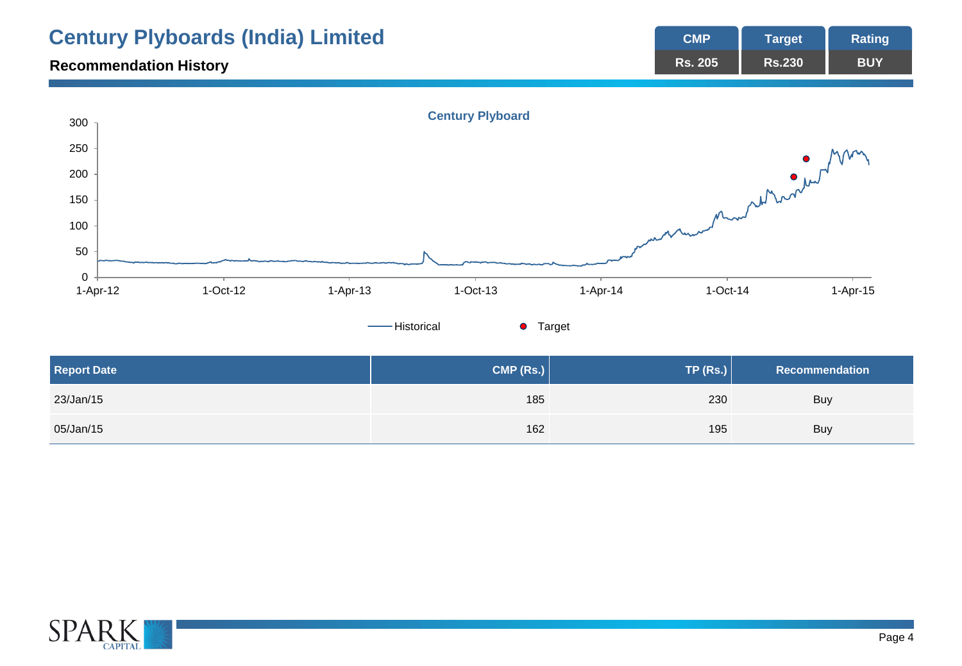|                                 | <b>Century Plyboards (India) Limited</b> |            |                         |          | <b>CMP</b>          | <b>Target</b>         | <b>Rating</b> |
|---------------------------------|------------------------------------------|------------|-------------------------|----------|---------------------|-----------------------|---------------|
| <b>Recommendation History</b>   |                                          |            |                         |          | <b>Rs. 205</b>      | <b>Rs.230</b>         | <b>BUY</b>    |
| 300<br>250<br>200<br>150<br>100 |                                          |            | <b>Century Plyboard</b> |          | men Munder and work |                       |               |
| 50                              |                                          |            |                         |          |                     |                       |               |
| $\mathbf 0$<br>1-Apr-12         | $1-Oct-12$                               | $1-Apr-13$ | $1-Oct-13$              | 1-Apr-14 | $1-Oct-14$          |                       | 1-Apr-15      |
|                                 |                                          |            | -Historical<br>• Target |          |                     |                       |               |
| <b>Report Date</b>              |                                          |            | CMP (Rs.)               |          | <b>TP (Rs.)</b>     | <b>Recommendation</b> |               |
| 23/Jan/15                       |                                          |            | 185                     |          | 230                 | Buy                   |               |
| 05/Jan/15                       |                                          |            | 162                     |          | 195                 | <b>Buy</b>            |               |

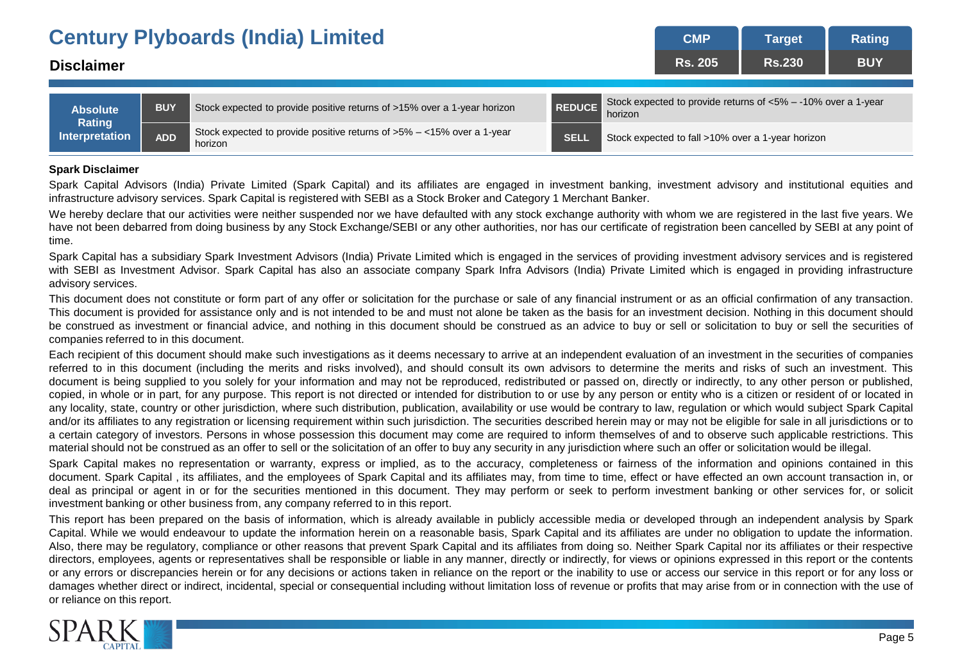|                                 |            | <b>Century Plyboards (India) Limited</b>                                                             | <b>CMP</b>                                                                  | <b>Target</b>                                     | Rating     |  |  |
|---------------------------------|------------|------------------------------------------------------------------------------------------------------|-----------------------------------------------------------------------------|---------------------------------------------------|------------|--|--|
| <b>Disclaimer</b>               |            |                                                                                                      | <b>Rs. 205</b>                                                              | <b>Rs.230</b>                                     | <b>BUY</b> |  |  |
|                                 |            |                                                                                                      |                                                                             |                                                   |            |  |  |
| <b>Absolute</b>                 | <b>BUY</b> | <b>REDUCE</b><br>Stock expected to provide positive returns of >15% over a 1-year horizon            | Stock expected to provide returns of $<5\% - 10\%$ over a 1-year<br>horizon |                                                   |            |  |  |
| Rating<br><b>Interpretation</b> | <b>ADD</b> | Stock expected to provide positive returns of $>5\% - <15\%$ over a 1-year<br><b>SELL</b><br>horizon |                                                                             | Stock expected to fall >10% over a 1-year horizon |            |  |  |

### **Spark Disclaimer**

Spark Capital Advisors (India) Private Limited (Spark Capital) and its affiliates are engaged in investment banking, investment advisory and institutional equities and infrastructure advisory services. Spark Capital is registered with SEBI as a Stock Broker and Category 1 Merchant Banker.

We hereby declare that our activities were neither suspended nor we have defaulted with any stock exchange authority with whom we are registered in the last five years. We have not been debarred from doing business by any Stock Exchange/SEBI or any other authorities, nor has our certificate of registration been cancelled by SEBI at any point of time.

Spark Capital has a subsidiary Spark Investment Advisors (India) Private Limited which is engaged in the services of providing investment advisory services and is registered with SEBI as Investment Advisor. Spark Capital has also an associate company Spark Infra Advisors (India) Private Limited which is engaged in providing infrastructure advisory services.

This document does not constitute or form part of any offer or solicitation for the purchase or sale of any financial instrument or as an official confirmation of any transaction. This document is provided for assistance only and is not intended to be and must not alone be taken as the basis for an investment decision. Nothing in this document should be construed as investment or financial advice, and nothing in this document should be construed as an advice to buy or sell or solicitation to buy or sell the securities of companies referred to in this document.

Each recipient of this document should make such investigations as it deems necessary to arrive at an independent evaluation of an investment in the securities of companies referred to in this document (including the merits and risks involved), and should consult its own advisors to determine the merits and risks of such an investment. This document is being supplied to you solely for your information and may not be reproduced, redistributed or passed on, directly or indirectly, to any other person or published, copied, in whole or in part, for any purpose. This report is not directed or intended for distribution to or use by any person or entity who is a citizen or resident of or located in any locality, state, country or other jurisdiction, where such distribution, publication, availability or use would be contrary to law, regulation or which would subject Spark Capital and/or its affiliates to any registration or licensing requirement within such jurisdiction. The securities described herein may or may not be eligible for sale in all jurisdictions or to a certain category of investors. Persons in whose possession this document may come are required to inform themselves of and to observe such applicable restrictions. This material should not be construed as an offer to sell or the solicitation of an offer to buy any security in any jurisdiction where such an offer or solicitation would be illegal.

Spark Capital makes no representation or warranty, express or implied, as to the accuracy, completeness or fairness of the information and opinions contained in this document. Spark Capital , its affiliates, and the employees of Spark Capital and its affiliates may, from time to time, effect or have effected an own account transaction in, or deal as principal or agent in or for the securities mentioned in this document. They may perform or seek to perform investment banking or other services for, or solicit investment banking or other business from, any company referred to in this report.

This report has been prepared on the basis of information, which is already available in publicly accessible media or developed through an independent analysis by Spark Capital. While we would endeavour to update the information herein on a reasonable basis, Spark Capital and its affiliates are under no obligation to update the information. Also, there may be regulatory, compliance or other reasons that prevent Spark Capital and its affiliates from doing so. Neither Spark Capital nor its affiliates or their respective directors, employees, agents or representatives shall be responsible or liable in any manner, directly or indirectly, for views or opinions expressed in this report or the contents or any errors or discrepancies herein or for any decisions or actions taken in reliance on the report or the inability to use or access our service in this report or for any loss or damages whether direct or indirect, incidental, special or consequential including without limitation loss of revenue or profits that may arise from or in connection with the use of or reliance on this report.